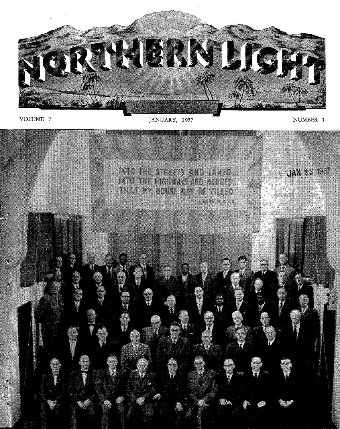

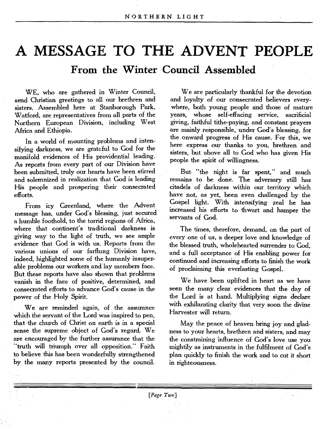# **A MESSAGE TO THE ADVENT PEOPLE**

**From the Winter Council Assembled** 

WE, who are gathered in Winter Council, send Christian greetings to all our brethren and sisters. Assembled here at Stanborough Park, Watford, are representatives from all parts of the Northern European Division, including West Africa and Ethiopia.

In a world of mounting problems and intensifying darkness, we are grateful to God for the manifold evidences of His providential leading. As reports from every part of our Division have been submitted, truly our hearts have been stirred and solemnized in realization that God is leading His people and prospering their consecrated efforts.

From icy Greenland, where the Advent message has, under God's blessing, just secured a humble foothold, to the torrid regions of Africa, where that continent's traditional darkness is giving way to the light of truth, we see ample evidence that God is with us. Reports from the various unions of our farflung Division have, indeed, highlighted some of the humanly insuperable problems our workers and lay members face. But these reports have also shown that problems vanish in the face of positive, determined, and consecrated efforts to advance God's cause in the power of the Holy Spirit.

We are reminded again, of the assurance which the servant of the Lord was inspired to pen, that the church of Christ on earth is in a special sense the supreme object of God's regard. We are encouraged by the further assurance that the "truth will triumph over all opposition." Faith to believe this has been wonderfully strengthened by the many reports presented by the council.

We are particularly thankful for the devotion and loyalty of our consecrated believers everywhere, both young people and those of mature years, whose self-effacing service, sacrificial giving, faithful tithe-paying, and constant prayers are mainly responsible, under God's blessing, for the onward progress of His cause. For this, we here express our thanks to you, brethren and sisters, but above all to God who has given His people the spirit of willingness.

But "the night is far spent," and much remains to be done. The adversary still has citadels of darkness within our territory which have not, as yet, been even challenged by the Gospel light. With intensifying zeal he has increased his efforts to thwart and **hamper** the servants of God.

The times, therefore, demand, on the part of every one of us, a deeper love and knowledge of the blessed truth, wholehearted surrender to God, and a full acceptance of His enabling power for continued and increasing efforts to finish the work of proclaiming this everlasting Gospel..

We have been uplifted in heart as we have seen the many clear evidences that the day of the Lord is at hand. Multiplying signs declare with exhilarating clarity that very soon the divine Harvester will return.

May the peace of heaven bring joy and gladness to your hearts, brethren and sisters, and may the constraining influence of God's love use you mightily as instruments in the fulfilment of God's plan quickly to finish the work and to cut it short in righteousness.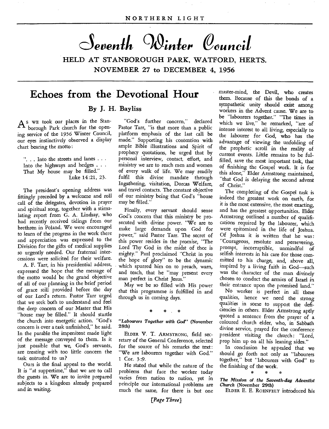Seventh Winter Council

**HELD AT STANBOROUGH PARK, WATFORD, HERTS. NOVEMBER 27 to DECEMBER 4, 1956** 

# **Echoes from the Devotional Hour**

#### **By J. H. Bayliss**

A<sup>S</sup> WE took our places in the borough Park church for the Stanborough Park church for the opening service of the 1956 Winter Council, our eyes instinctively observed a display chart bearing the motto :

"... Into the streets and lanes ... Into the highways and hedges . That My house may be filled." Luke 14:21, 23.

The president's opening address was fittingly preceded by a welcome and roll call of the delegates, devotion in prayer and spiritual song, together with a stimulating report from G. A. Lindsay, who had recently received tidings from our brethren in Poland. We were encouraged to learn of the progress in the work there and appreciation was expressed to the Division for the gifts of medical supplies so urgently needed. Our fraternal intercessions were solicited for their welfare.

A. F. Tarr, in his presidential address, expressed the hope that the message of the motto would be the grand objective of all of our planning in the brief period of grace still provided before the day of our Lord's return. Pastor Tarr urged that we seek both to understand and feel the deep concern of our Master that His "house may be filled." It should startle the church into energetic action. "God's concern is over a task unfinished," he said. In the parable the impenitent made light of the message conveyed to them. Is it just possible that we, God's servants, are treating with too little concern the task entrusted to us ?

Ours is the final appeal to the world. It is "at suppertime," that we are to call the guests in. We are to invite prepared subjects to a kingdom already prepared and in waiting.

"God's further concern," declared Pastor Tarr, "is that more than a public platform emphasis of the last call be made." Supporting his contention with ample Bible illustrations and Spirit of prophecy quotations, he urged that by personal interview, contact, effort, and ministry we are to reach men and women of every walk of life. We may readily fulfil this divine mandate through Ingathering, visitation, Dorcas Welfare, and travel contacts. The constant objective of our ministry being that God's "house may be filled."

Finally, every servant should sense God's concern that this ministry be prosecuted with divine power. "We are to make large demands upon God for power," said Pastor Tarr. The secret of this power resides in the promise, "The Lord Thy God in the midst of thee is mighty." Paul proclaimed "Christ in you the hope of glory" to be the dynamic which spurred him on to preach, warn, and teach, that he "may present every man perfect in Christ Jesus."

May we be so filled with His power that this programme is fulfilled in and through us in coming days.

# \* . \*

*"Labourers Together with God"* (November 28th)

ELDER V. T. ARMSTRONG, field secretary of the General Conference, selected for the source of his remarks the text: "We are labourers together with God." 1 Cor. 3 :9.

He stated that while the nature of the problems that face the worker today varies from nation to nation, yet in principle our international problems are much the same, for there is but one

*[Page Three]* 

master-mind, the Devil, who creates them. Because of this the bonds of a sympathetic unity should exist among workers in the Advent cause. We are to be "labourers together." "The times in which we live," he remarked, "are of intense interest to all living, especially to the labourer for God, who has the advantage of viewing the unfolding of the prophetic scroll in the reality of current events. Little remains to be fulfilled, save the most important task, that of finishing the Gospel work. It is for this alone," Elder Armstrong maintained, "that God is delaying the second advent of Christ."

The completing of the Gospel task is indeed the greatest work on earth, for it is the most extensive, the most exacting, and has the greatest opportunities. Elder Armstrong outlined a number of qualifications required by the labourer, which were epitomized in the life of Joshua. Of Joshua it is written that he was : "Courageous, resolute and persevering, prompt, incorruptible, unmindful of selfish interests in his care for those committed to his charge, and, above all, inspired by a living faith in God—such was the character of the man divinely chosen to conduct the armies of Israel in their entrance upon the promised land."

No worker is perfect in all these qualities, hence we need the strong qualities in some to support the deficiencies in others. Elder Armstrong aptly quoted a sentence from the prayer of a coloured church elder, who, in Sabbath divine service, prayed for the conference president visiting the church: "Lord, prop him up on all his leaning sides."

In conclusion he appealed that we should go forth not only as "labourers together," but "labourers with God" to the finishing of the work.

*The Mission of the Seventh-day Adventist Church* (November 29th)

ELDER E. E. ROENFELT introduced his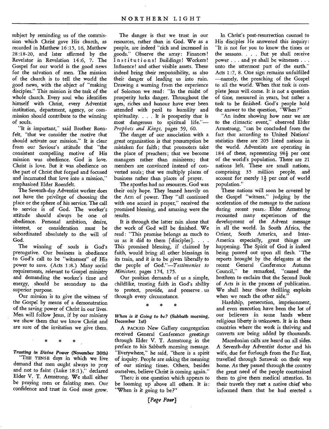subject by reminding us of the commission which Christ gave His church, as recorded in Matthew 16:15, 16, Matthew 28:18-20, and later affirmed by the Revelator in Revelation 14:6, 7. The Gospel for our world is the good news for the salvation of men. The mission of the church is to tell the world the good news, with the object of "making disciples." This mission is the task of the whole church. Every soul who identifies himself with Christ, every Adventist institution, department, agency, or commission should contribute to the winning of souls.

"It is important," said Brother Roenfelt, "that we consider the motive that should activate our mission." It is dear from our Saviour's attitude that "the consistent compelling motive of His mission was obedience. God is love. Christ is love. But it was obedience on the part of Christ that forged and focused and incarnated that love into a mission," emphasized Elder Roenfelt.

The Seventh-day Adventist worker does not have the privilege of choosing the place or the sphere of his service. The call to service is of God. The worker's attitude should always be one of obedience. Personal ambition, desire, interest, or consideration must be subordinated absolutely to the will of God.

The winning of souls is God's prerogative. Our business is obedience to God's call to be "witnesses" of His power to save. (Acts 1 :8.) Many social requirements, relevant to Gospel ministry and demanding the worker's time and energy, should be secondary to the superior purpose.

Our mission is to give the witness of the Gospel by means of a demonstration of the saving power of Christ in our lives. Men will follow Jesus, if by our ministry we show them that we know Christ and are sure of the invitation we give them.

*Trusting in Divine Power* **(November 30th)**  "THE TENSE days in which we live demand that men ought always to pray and not to faint (Luke 18:1)," declared Elder V. T. Armstrong. We shall either be praying men or fainting men. Our confidence and trust in God must grow.

The danger is that we trust in our resources, rather than in God. We as a people, are indeed "rich and increased in goods." Observe the array: Finances! Institutions! Buildings! Workers! Influence! and other visible assets. These indeed bring their responsibility, as also their danger of leading us into ruin. Drawing a warning from the experience of Solomon we read : "In the midst of prosperity lurks danger. Throughout the *ages,* riches and honour have ever been attended with peril to humility and spirituality. . . . It is prosperity that is most dangerous to spiritual life."— *Prophets and Kings,* pages 59, 60.

The danger of our association with a great organization is that presumption be mistaken for faith; that promoters take the place of preachers; that we become managers rather than ministers; that members are convinced instead of converted souls; that we multiply places of business rather than places of prayer.

The apostles had no resources. God was their only hope. They leaned heavily on the Arm of power. They "all continued with one accord in prayer," received the promised blessing, and amazing were the results.

It is through the latter rain alone that the work of God will be finished. We read: "This promise belongs as much to us as it did to them  $\lceil$  disciples $\rceil$ . . . . This promised blessing, if claimed by faith, would bring all other blessings in its train, and it is to be given liberally to the people of *God."—Testimonies to Ministers,* pages 174, 175.

Our position demands of us a simple, childlike, trusting faith in God's ability to protect, provide, and preserve . us through every circumstance.

*When is it Going to be?* **(Sabbath morning, December 1st)** 

A PACKED New Gallery congregation received General Conference greetings through Elder V. T. Armstrong in the preface to his Sabbath morning message. "Everywhere," he said, "there is a spirit of inquiry. People are asking the meaning of our stirring times. Others, besides ourselves, believe Christ is coming again."

There is one question which appears to be looming up above all others. It is : "When is it going to be?"

#### *(Page Four]*

In Christ's post-resurrection counsel to His disciples He answered this inquiry: "It is not for you to know the times or the seasons. . . . But ye shall receive power . . . and ye shall be witnesses . . . unto the uttermost part of the earth." Acts 1 *:7,* 8. One sign remains unfulfilled —namely, the preaching of the Gospel to all the world. When that task is complete Jesus will come. It is not a question of time, measured in years, but rather a task to be finished. God's people hold the answer to the question, "When ?"

"An index showing how near we are to the climactic event," observed Elder Armstrong,. "can be concluded from the fact that according to United Nations' statistics there are 205 listed nations in the world. Adventists are operating in 184 of these, representing  $98\frac{1}{2}$  per cent of the world's population. There are 21 nations left. These are small nations, comprising 35 million people, and account for merely  $1\frac{1}{2}$  per cent of world population."

These nations will soon be covered by the Gospel "witness," judging by the acceleration of the message to the nations during recent years. Elder Armstrong recounted many experiences of the development of the Advent message in all the world. In South Africa, the Orient, South America, and Inter-America especially, great things are happening. The Spirit of God is indeed being poured out upon all flesh. "The reports brought by the delegates at the recent General Conference Autumn Council," he remarked, "caused the brethren to exclaim that the Second Book of Acts is in the process of publication. We shall hear those thrilling exploits when we reach the other side."

Hardship, persecution, imprisonment, and even execution have been the lot of our believers in some lands where religious liberty is unknown. It is in these countries where the work is thriving and converts are being added by thousands.

Macedonian calls are heard on all sides. A Seventh-day Adventist doctor and his wife, due for furlough from the Far East, travelled through Sarawak on their way home. As they passed through the country the great need of the people constrained them to give them medical attention. In their travels they met a native chief who informed them that he had erected a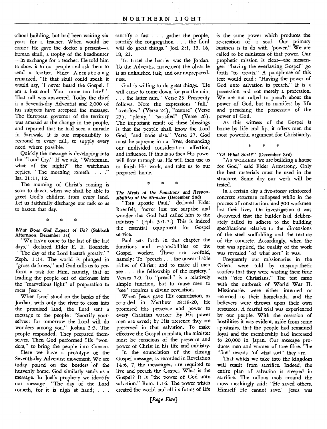school building, but had been waiting six years for a teacher. When would he come? He gave the doctor a present—a human skull, a trophy of the headhunter —in exchange for a teacher. He told him to show it to our people and ask them to send a teacher. Elder Armstrong remarked, "If that skull could speak it would say, 'I never heard the Gospel. I am a lost soul. You came too late!'" That call was answered. Today the chief is a Seventh-day Adventist and 2,000 of his subjects have accepted the message. The European governor of the territory was amazed at the change in the people, and reported that he had seen a miracle in Sarawak. It is our responsibilty to respond to every call; to supply every need where possible.

Quickly the message is developing into the "Loud Cry." If we ask, "Watchman, what of the night?" the watchman replies, "The morning cometh. . . ." Isa. 21 :11, 12.

The morning of Christ's coming is soon to dawn, when we shall be able to greet God's children from every land. Let us faithfully discharge our task so as to hasten that day.

*What Does God Expect of Us?* (Sabbath Afternoon, December 1st)

"WE HAVE come to the last of the last days," declared Elder E. E. Roenfelt. " The day of the Lord hasteth greatly.' " Zeph. 1:14. The world is plunged in "gross darkness," and God calls us to perform a task for Him, namely, that of leading the people out of darkness into the "marvellous light" of preparation to meet Jesus.

When Israel stood on the banks of the Jordan, with only the river to cross into the promised land, the Lord sent a message to the people: "Sanctify yourselves : for tomorrow the Lord will do wonders among you." Joshua 3:5. The people responded. They prepared themselves. Then God performed His "wonders," to bring the people into Canaan.

Here we have a prototype of the Seventh-day Adventist movement. We are today poised on the borders of the heavenly home. God similarly sends us a message. In Joel's prophecy we identify our message: "The day of the Lord cometh, for it is nigh at hand; . . .

sanctify a fast . . . gather the people, sanctify the congregation . . . the Lord will do great things." Joel 2:1, 15, 16, 18, 21.

To Israel the barrier was the Jordan. To the Adventist movement the obstacle is an unfinished task, and our unpreparedness.

God is willing to do great things. "He will cause to come down for you the rain, . . . the latter rain." Verse 23. Prosperity follows. Note the expressions "full," "overflow" (Verse 24), "restore" (Verse 25), "plenty," "satisfied" (Verse 26). The important result of these blessings is that the people shall know the Lord God, "and none else." Verse 27. God must be supreme in our lives, demanding our undivided consideration, affection, and influence. If this is so then His power will flow through us. He will then use us to finish His work, and take us to our prepared home.

\* \* \*

*The Ideals of the Functions and Responsibilities of the Minister* (December 2nd)

"THE apostle Paul," declared Elder Roenfelt, "never lost the surprise and wonder that God had called him to the ministry." (Eph. 3:1-7.) This is indeed the essential equipment for Gospel service.

Paul sets forth in this chapter the functions and responsibilities of the Gospel worker. These are twofold, namely : To "preach . . . the unsearchable riches of Christ; and to make all men see . . . the fellowship of the mystery." Verses 7-9. To "preach" is a relatively simple function, but to cause men to "see" requires a divine revelation.

When Jesus gave His commission, as recorded in Matthew 28:18-20, He promised His presence and power to every Christian worker. By His power men are saved; by His presence they are preserved in that salvation. To make effective the Gospel mandate, the minister must be conscious of the presence and power of Christ in his life and ministry.

In the enunciation of the closing Gospel message, as recorded in Revelation 14:6, 7, the messengers are required to live and preach the Gospel. What is the Gospel? It is "the power of God unto salvation." Rom. 1 :16. The power which created the world and all its forms of life

is the same power which produces the re-creation of a soul. Our primary business is to do with "power." We are called to be ministers of that power. Our prophetic mission is dear—the messengers "having the everlasting Gospel" go forth "to preach." A paraphrase of this text would read: "Having the power of God unto salvation to preach." It is a possession and not merely a profession. We are not called to preach about the power of God, but to manifest by life and preaching the possession of the power of God.

As this witness of the Gospel is borne by life and lip, it offers men the most powerful argument for Christianity.

\* \* \*

*"Of What Sort?" (December* 3rd)

"As WORKERS we are building a house for God," said Elder Armstrong. Only the best materials must be used in the structure. Some day our work will be tested.

In a certain city a five-storey reinforced concrete structure collapsed while in the process of construction, and 300 workmen lost their lives. On investigation it was discovered that the builder had deliberately failed to adhere to the building specifications relative to the dimensions of the steel scaffolding and the texture of the concrete. Accordingly, when the test was applied, the quality of the work was revealed "of what sort" it was.

Frequently our missionaries in the Orient were told by unsympathetic scoffers that they were wasting their time with "rice Christians." The test came with the outbreak of World War II. Missionaries were either interned or returned to their homelands, and the believers were thrown upon their own resources. A fearful trial was experienced by our people. With the cessation of hostilities it was evident, aside from some apostasies, that the people had remained loyal and the membership had increased to 20,000 in Japan. Our message produces men and women of true fibre. The "fire" reveals "of what sort" they are.

That which we take into the kingdom will result from sacrifice. Indeed, the entire plan of salvation is steeped in sacrifice. The callous mob around the cross mockingly said : "He saved others, Himself He cannot save." Jesus was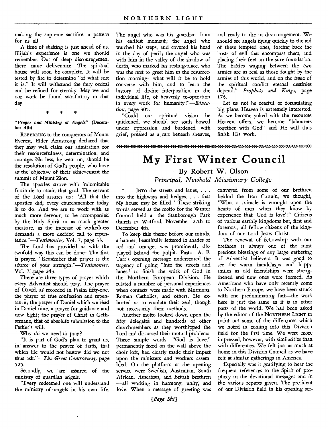making the supreme sacrifice, a pattern for *us* all.

A time of shaking is just ahead of us. Elijah's experience is one we should remember. Out of deep discouragement there came deliverance. The spiritual house will soon be complete. It will be tested by fire to determine "of what sort it is." It will withstand the fiery ordeal and be refined for eternity. May we and our work be found satisfactory in that day.

*"Prayer and Ministry of Angels"* **(December 4th)** 

REFERRING to the conquerors of Mount Everest, Elder Armstrong declared that they may well claim our admiration for their resourcefulness, determination, and courage. No less, he went on, should be the resolution of God's people, who have as the objective of their achievement the summit of Mount Zion.

The apostles strove with indomitable fortitude to attain that goal. The servant of the Lord assures us: "All that the apostles did, every churchmember today is to do. And we are to work with as much more fervour, to be accompanied by the Holy Spirit in as much greater measure, as the increase of wickedness demands a more decided call to reperitance."—Testimonies, Vol. 7, page 33.

The Lord has provided us with the twofold way this can be done: The first is prayer. "Remember that prayer is the source• of your *strength."—Testimonies,*  Vol. 7; page 243.

There are three types of prayer which every Adventist should pray. The prayer of David, as recorded in Psalm fifty-one, the prayer of true confession and repentance ; the prayer of Daniel which we read in Daniel nine, a prayer for guidance and new light; the prayer of Christ in Gethsemane, that of absolute submission to the Father's will.

Why do we need to pray?

"It is part of God's plan to grant us, in' answer to the prayer of faith, that which He would not bestow did we not thus ask."—The *Great Controversy,* page 525.

Secondly, we are assured of the ministry of guardian angels.

"Every redeemed one will understand the ministry of angels in his own life. The angel who was his guardian from his earliest moment; the angel who watched his steps, and covered his head in the day of peril; the angel who was with him in the valley of the shadow of death, who marked his resting-place, who was the first to greet him in the resurrection morning—what will it be to hold converse with him, and to learn the history of divine interposition in the individual life, of heavenly co-operation in every work for humanity *!"—Education,* page 305.

"Could our spiritual vision be quickened, we should see souls bowed under oppression and burdened with grief, pressed as a cart beneath sheaves, and ready to die in discouragement. We should see angels flying quickly to the aid of these tempted ones, forcing back the I-osts of evil that encompass them, and placing their feet on the sure foundation. The battles waging between the two armies are as real as those fought by the armies of this world, and on the issue of the spiritual conflict eternal destinies *depend."—Prophets and Kings,* page 176.

Let us not be fearful of formulating big plans. Heaven is extremely interested. As we become yoked with the resources Heaven offers, we become "labourers together with God" and He will thus finish His work.

zc ccc< crcccccccccEEC

# **My First Winter Council By Robert W. Olson**

*Principal, Newbold Missionary College* 

". . . INTO the streets and lanes, . . . into the highways and hedges, . . . that My house may be filled." These striking words served as the motto for the Winter Council held at the Stanborough Park church in Watford, November 27th to December 4th.

To keep this theme before our minds, a banner, beautifully lettered in shades of red and orange, was prominently displayed behind the pulpit. Pastor A. F. Tarr's opening message underscored the urgency of going "into the streets and lanes" to finish the work of God in the Northern European Division. He related a number of personal experiences when contacts were made with Mormons, Roman Catholics, and others. He exhorted us to emulate their zeal, though not necessarily their methods.

Another motto looked down upon the fifty delegates and hundreds of other churchmembers as they worshipped the Lord and discussed their mutual problems. Three simple words, "God is love," permanently fixed on the wall above the choir loft, had clearly made their impact upon the ministers and workers assembled. On the platform at the opening service were Swedish, Australian, South African, American, and British brethren —all working in harmony, unity; and love. When a message of greeting was

conveyed from some of our brethren behind the Iron Curtain, we thought, "What a miracle is wrought upon the hearts of men when they know by experience that 'God is love' !" Citizens of various earthly kingdoms but, first and foremost, all fellow citizens of the kingdom of our Lord Jesus Christ.

The renewal of fellowship with our brethren is always one of the most precious blessings of any large gathering of Adventist believers. It was good to see the warm handclasps and happy smiles as old friendships were strengthened and new ones were formed. As Americans who have only recently come to Northern Europe, we have been struck with one predominating fact—the work here is just the same as it is in other parts of the world. We had been asked by the editor of the NORTHERN LIGHT to point out some of the differences which we noted in coming into this Division field for the first time. We were more impressed, however, with similarities than with differences. We felt just as much at home in this Division Council as we have felt at similar gatherings in America.

Especially was it gratifying to hear the frequent references to the Spirit of prophecy in the devotional messages and in the various reports given. The president of our Division field in his opening ser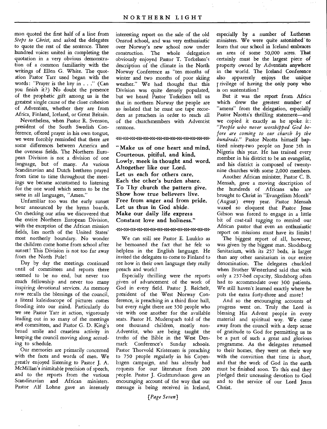mon quoted the first half of a line from *Steps to Christ,* and asked the delegates to quote the rest of the sentence. Three hundred voices united in completing the quotation in a very obvious demonstration of a common familiarity with the writings of Ellen G. White. The quotation Pastor Tarr used began with the words: "Prayer is the key in . . ." (Can you finish it ?) No doubt the presence of the prophetic gift among us is the greatest single cause of the close cohesion of Adventists, whether they are from Africa, Finland, Iceland, or Great Britain.

Nevertheless, when Pastor R. Svenson, president of the South Swedish Conference, offered prayer in his own tongue, we were forcibly reminded that there are some differences between America and the overseas fields. The Northern European Division is not a division of one language, but of many. As various Scandinavian and Dutch brethren prayed from time to time throughout the meetings we became accustomed to listening for the one word which seems to be the same in all languages, "Amen."

Unfamiliar too was the early sunset hour announced by the hymn boards. On checking our atlas we discovered that the entire Northern European Division, with the exception of the African mission fields, lies north of the United States' most northerly boundary. No wonder the children come home from school after sunset! This Division is not too far away from the North Pole!

Day by day the meetings continued until of committees and reports there seemed to be no end, but never too much fellowship and never too many inspiring devotional services. As memory now recalls the blessings of the council, a literal kaleidoscope of pictures comes flooding into our mind. Particularly do we see Pastor Tarr in action, vigorously leading out in so many of the meetings and committees, and Pastor G. D. King's broad smile and ceaseless activity in keeping the council moving along according to schedule.

Our memories are primarily concerned with the faces and words of men. We greatly enjoyed listening to Pastor J. A. McMillan's inimitable precision of speech, and to the reports from the various Scandinavian and African ministers. Pastor Alf Lohne gave an intensely interesting report on the sale of the old Onsrud school, and was very enthusiastic over Norway's new school now under construction. The whole delegation obviously enjoyed Pastor T. Torkelsen's description of the climate in the North Norway Conference as "ten months of winter and two months of poor skiing weather." We had thought that this Division was quite densely populated, but we heard Pastor Torkelsen tell us that in northern Norway the people are so isolated that he must use tape recorders as preachers in order to reach all of the churchmembers with Adventist sermons.

-))»>»»n )) >) ))3 >))

"Make us of one heart and mind, Courteous, pitiful, and kind, Lowly, meek in thought and word, Altogether like our Lord. Let us each for others care, Each the other's burden share. To Thy church the pattern give, Show how true believers live. Free from anger and from pride, Let us thus in God abide. Make our daily life express Constant love and holiness."

ccc ccc

We can still see Pastor E. Luukko as he bemoaned the fact that he felt so helpless in the English language. He invited the delegates to come to Finland to see how in their own language they really preach and work!

Especially thrilling were the reports given of advancement of the work of God in every field. Pastor J. Reichelt, president of the West Norway Conference, is preaching in a third floor hall, but every night there are 350 people who vie with one another for the available seats. Pastor H. Muderspach told of the one thousand children, mostly non-Adventist, who are being taught the truths of the Bible in the West Denmark Conference's Sunday schools. Pastor Thorvold Kristensen is preaching to 750 people regularly in his Copenhagen campaign, and has already had requests for our literature from 200 people. Pastor J. Gudmundsson gave an encouraging account of the way that out message is being received in Iceland,

especially by a number of Lutheran ministers. We were quite astonished' to learn that our school in Iceland embraces an area of some 50,000 acres. That certainly must be the largest piece of property owned by Adventists anywhere in the world. The Iceland Conference also apparently enjoys the unique rivilege of having the only pony who is on sustentation!

But it was the report from. Africa which drew the greatest number of "amens" from the delegation, especially Pastor Nzotta's thrilling statement—and we copied it exactly as he spoke it: *"People who never worshipped God before are coming to our church by the hundreds."* Pastor Nzotta himself baptized ninety-two people on June 5th in Nigeria this year. He has trained every member in his district to be an evangelist, and his district is composed of twentynine churches with some 2,000 members.

Another African minister, Pastor C. B. Mensah, gave a moving description of the hundreds of Africans who are brought to Christ in "Evangelism Month" (August) every year. Pastor Mensah waxed so eloquent that Pastor Jesse Gibson was forced to engage in a little bit of coat-tail tugging to remind our African pastor that even an enthusiastic report on missions must have its limits!

The biggest report of all, however, was given by the biggest man. Skodsborg Sanitarium, with its 257 beds, is larger than any other sanitarium in our entire denomination. The delegates chuckled when Brother Westerlund said that with only a 257-bed capacity, Skodsborg often had to accommodate over 300 patients. We still haven't learned exactly where he puts the extra forty-three and more!

And so the encouraging accounts of progress went on. Truly the Lord is blessing His Advent people in every material and spiritual way. We came away from the council with a deep sense of gratitude to God for permitting us to be a part of such a great and glorious programme. As the delegates returned to their homes, they went on their way with the conviction that time is short. and that the work of God in the earth must be finished soon. To this end they pledged their unceasing devotion to God and to the service of our Lord Jesus Christ.